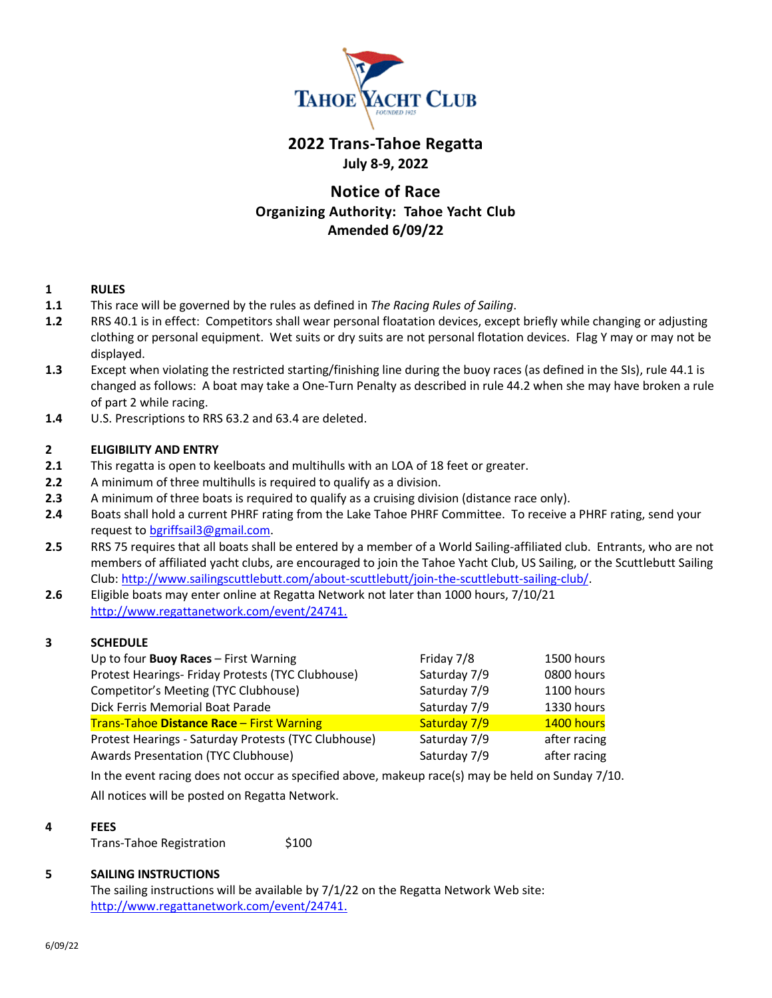

## **2022 Trans-Tahoe Regatta July 8-9, 2022**

# **Notice of Race Organizing Authority: Tahoe Yacht Club Amended 6/09/22**

## **1 RULES**

- **1.1** This race will be governed by the rules as defined in *The Racing Rules of Sailing*.
- **1.2** RRS 40.1 is in effect: Competitors shall wear personal floatation devices, except briefly while changing or adjusting clothing or personal equipment. Wet suits or dry suits are not personal flotation devices. Flag Y may or may not be displayed.
- **1.3** Except when violating the restricted starting/finishing line during the buoy races (as defined in the SIs), rule 44.1 is changed as follows: A boat may take a One-Turn Penalty as described in rule 44.2 when she may have broken a rule of part 2 while racing.
- **1.4** U.S. Prescriptions to RRS 63.2 and 63.4 are deleted.

## **2 ELIGIBILITY AND ENTRY**

- **2.1** This regatta is open to keelboats and multihulls with an LOA of 18 feet or greater.
- **2.2** A minimum of three multihulls is required to qualify as a division.
- **2.3** A minimum of three boats is required to qualify as a cruising division (distance race only).
- **2.4** Boats shall hold a current PHRF rating from the Lake Tahoe PHRF Committee. To receive a PHRF rating, send your request t[o bgriffsail3@gmail.com.](mailto:bgriffsail3@gmail.com)
- **2.5** RRS 75 requires that all boats shall be entered by a member of a World Sailing-affiliated club. Entrants, who are not members of affiliated yacht clubs, are encouraged to join the Tahoe Yacht Club, US Sailing, or the Scuttlebutt Sailing Club: [http://www.sailingscuttlebutt.com/about-scuttlebutt/join-the-scuttlebutt-sailing-club/.](http://www.sailingscuttlebutt.com/about-scuttlebutt/join-the-scuttlebutt-sailing-club/)
- **2.6** Eligible boats may enter online at Regatta Network not later than 1000 hours, 7/10/21 <http://www.regattanetwork.com/event/24741.>

## **3 SCHEDULE**

| Up to four Buoy Races - First Warning                | Friday 7/8   | 1500 hours   |
|------------------------------------------------------|--------------|--------------|
| Protest Hearings- Friday Protests (TYC Clubhouse)    | Saturday 7/9 | 0800 hours   |
| Competitor's Meeting (TYC Clubhouse)                 | Saturday 7/9 | 1100 hours   |
| Dick Ferris Memorial Boat Parade                     | Saturday 7/9 | 1330 hours   |
| Trans-Tahoe Distance Race - First Warning            | Saturday 7/9 | 1400 hours   |
| Protest Hearings - Saturday Protests (TYC Clubhouse) | Saturday 7/9 | after racing |
| Awards Presentation (TYC Clubhouse)                  | Saturday 7/9 | after racing |

In the event racing does not occur as specified above, makeup race(s) may be held on Sunday 7/10. All notices will be posted on Regatta Network.

#### **4 FEES**

Trans-Tahoe Registration \$100

## **5 SAILING INSTRUCTIONS**

The sailing instructions will be available by 7/1/22 on the Regatta Network Web site: [http://www.regattanetwork.com/event/24741.](http://www.regattanetwork.com/event/24741)